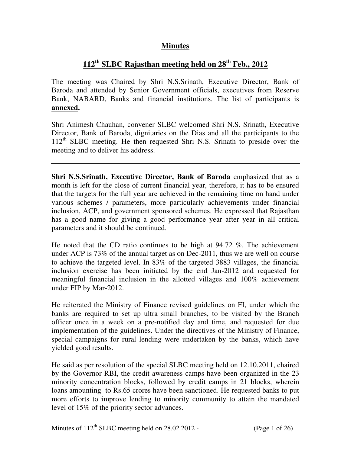# **Minutes**

# **112th SLBC Rajasthan meeting held on 28th Feb., 2012**

The meeting was Chaired by Shri N.S.Srinath, Executive Director, Bank of Baroda and attended by Senior Government officials, executives from Reserve Bank, NABARD, Banks and financial institutions. The list of participants is **annexed.**

Shri Animesh Chauhan, convener SLBC welcomed Shri N.S. Srinath, Executive Director, Bank of Baroda, dignitaries on the Dias and all the participants to the 112<sup>th</sup> SLBC meeting. He then requested Shri N.S. Srinath to preside over the meeting and to deliver his address.

**Shri N.S.Srinath, Executive Director, Bank of Baroda** emphasized that as a month is left for the close of current financial year, therefore, it has to be ensured that the targets for the full year are achieved in the remaining time on hand under various schemes / parameters, more particularly achievements under financial inclusion, ACP, and government sponsored schemes. He expressed that Rajasthan has a good name for giving a good performance year after year in all critical parameters and it should be continued.

He noted that the CD ratio continues to be high at 94.72 %. The achievement under ACP is 73% of the annual target as on Dec-2011, thus we are well on course to achieve the targeted level. In 83% of the targeted 3883 villages, the financial inclusion exercise has been initiated by the end Jan-2012 and requested for meaningful financial inclusion in the allotted villages and 100% achievement under FIP by Mar-2012.

He reiterated the Ministry of Finance revised guidelines on FI, under which the banks are required to set up ultra small branches, to be visited by the Branch officer once in a week on a pre-notified day and time, and requested for due implementation of the guidelines. Under the directives of the Ministry of Finance, special campaigns for rural lending were undertaken by the banks, which have yielded good results.

He said as per resolution of the special SLBC meeting held on 12.10.2011, chaired by the Governor RBI, the credit awareness camps have been organized in the 23 minority concentration blocks, followed by credit camps in 21 blocks, wherein loans amounting to Rs.65 crores have been sanctioned. He requested banks to put more efforts to improve lending to minority community to attain the mandated level of 15% of the priority sector advances.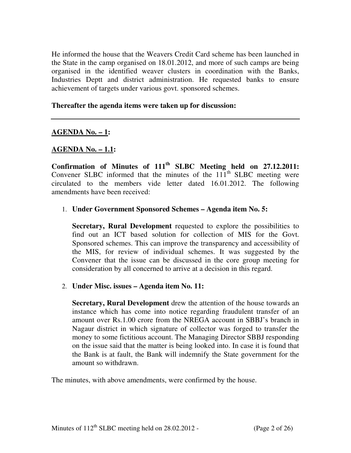He informed the house that the Weavers Credit Card scheme has been launched in the State in the camp organised on 18.01.2012, and more of such camps are being organised in the identified weaver clusters in coordination with the Banks, Industries Deptt and district administration. He requested banks to ensure achievement of targets under various govt. sponsored schemes.

#### **Thereafter the agenda items were taken up for discussion:**

#### **AGENDA No. – 1:**

#### **AGENDA No. – 1.1:**

**Confirmation of Minutes of 111th SLBC Meeting held on 27.12.2011:**  Convener SLBC informed that the minutes of the  $111<sup>th</sup>$  SLBC meeting were circulated to the members vide letter dated 16.01.2012. The following amendments have been received:

#### 1. **Under Government Sponsored Schemes – Agenda item No. 5:**

**Secretary, Rural Development** requested to explore the possibilities to find out an ICT based solution for collection of MIS for the Govt. Sponsored schemes. This can improve the transparency and accessibility of the MIS, for review of individual schemes. It was suggested by the Convener that the issue can be discussed in the core group meeting for consideration by all concerned to arrive at a decision in this regard.

#### 2. **Under Misc. issues – Agenda item No. 11:**

**Secretary, Rural Development** drew the attention of the house towards an instance which has come into notice regarding fraudulent transfer of an amount over Rs.1.00 crore from the NREGA account in SBBJ's branch in Nagaur district in which signature of collector was forged to transfer the money to some fictitious account. The Managing Director SBBJ responding on the issue said that the matter is being looked into. In case it is found that the Bank is at fault, the Bank will indemnify the State government for the amount so withdrawn.

The minutes, with above amendments, were confirmed by the house.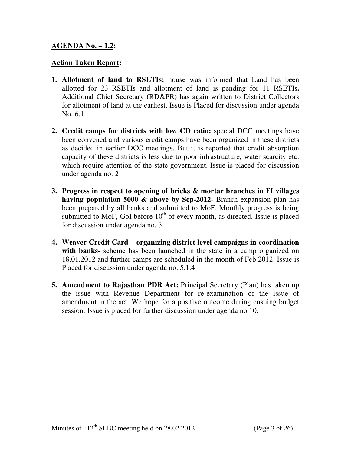#### **AGENDA No. – 1.2:**

#### **Action Taken Report:**

- **1. Allotment of land to RSETIs:** house was informed that Land has been allotted for 23 RSETIs and allotment of land is pending for 11 RSETIs**.**  Additional Chief Secretary (RD&PR) has again written to District Collectors for allotment of land at the earliest. Issue is Placed for discussion under agenda No. 6.1.
- **2. Credit camps for districts with low CD ratio:** special DCC meetings have been convened and various credit camps have been organized in these districts as decided in earlier DCC meetings. But it is reported that credit absorption capacity of these districts is less due to poor infrastructure, water scarcity etc. which require attention of the state government. Issue is placed for discussion under agenda no. 2
- **3. Progress in respect to opening of bricks & mortar branches in FI villages having population 5000 & above by Sep-2012**- Branch expansion plan has been prepared by all banks and submitted to MoF. Monthly progress is being submitted to MoF, GoI before  $10<sup>th</sup>$  of every month, as directed. Issue is placed for discussion under agenda no. 3
- **4. Weaver Credit Card organizing district level campaigns in coordination with banks-** scheme has been launched in the state in a camp organized on 18.01.2012 and further camps are scheduled in the month of Feb 2012. Issue is Placed for discussion under agenda no. 5.1.4
- **5. Amendment to Rajasthan PDR Act:** Principal Secretary (Plan) has taken up the issue with Revenue Department for re-examination of the issue of amendment in the act. We hope for a positive outcome during ensuing budget session. Issue is placed for further discussion under agenda no 10.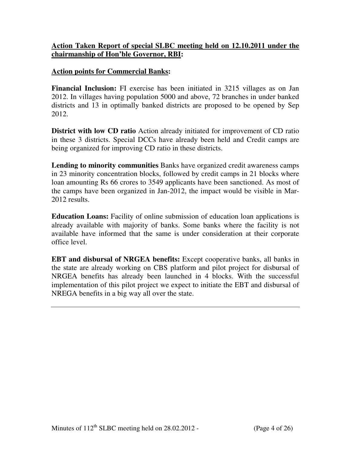#### **Action Taken Report of special SLBC meeting held on 12.10.2011 under the chairmanship of Hon'ble Governor, RBI:**

#### **Action points for Commercial Banks:**

**Financial Inclusion:** FI exercise has been initiated in 3215 villages as on Jan 2012. In villages having population 5000 and above, 72 branches in under banked districts and 13 in optimally banked districts are proposed to be opened by Sep 2012.

**District with low CD ratio** Action already initiated for improvement of CD ratio in these 3 districts. Special DCCs have already been held and Credit camps are being organized for improving CD ratio in these districts.

**Lending to minority communities** Banks have organized credit awareness camps in 23 minority concentration blocks, followed by credit camps in 21 blocks where loan amounting Rs 66 crores to 3549 applicants have been sanctioned. As most of the camps have been organized in Jan-2012, the impact would be visible in Mar-2012 results.

**Education Loans:** Facility of online submission of education loan applications is already available with majority of banks. Some banks where the facility is not available have informed that the same is under consideration at their corporate office level.

**EBT and disbursal of NRGEA benefits:** Except cooperative banks, all banks in the state are already working on CBS platform and pilot project for disbursal of NRGEA benefits has already been launched in 4 blocks. With the successful implementation of this pilot project we expect to initiate the EBT and disbursal of NREGA benefits in a big way all over the state.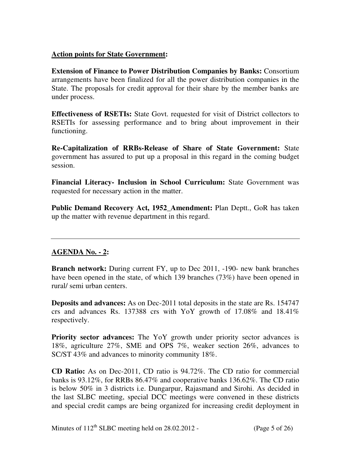## **Action points for State Government:**

**Extension of Finance to Power Distribution Companies by Banks:** Consortium arrangements have been finalized for all the power distribution companies in the State. The proposals for credit approval for their share by the member banks are under process.

**Effectiveness of RSETIs:** State Govt. requested for visit of District collectors to RSETIs for assessing performance and to bring about improvement in their functioning.

**Re-Capitalization of RRBs-Release of Share of State Government:** State government has assured to put up a proposal in this regard in the coming budget session.

**Financial Literacy- Inclusion in School Curriculum:** State Government was requested for necessary action in the matter.

**Public Demand Recovery Act, 1952\_Amendment:** Plan Deptt., GoR has taken up the matter with revenue department in this regard.

## **AGENDA No. - 2:**

**Branch network:** During current FY, up to Dec 2011, -190- new bank branches have been opened in the state, of which 139 branches (73%) have been opened in rural/ semi urban centers.

**Deposits and advances:** As on Dec-2011 total deposits in the state are Rs. 154747 crs and advances Rs. 137388 crs with YoY growth of 17.08% and 18.41% respectively.

**Priority sector advances:** The YoY growth under priority sector advances is 18%, agriculture 27%, SME and OPS 7%, weaker section 26%, advances to SC/ST 43% and advances to minority community 18%.

**CD Ratio:** As on Dec-2011, CD ratio is 94.72%. The CD ratio for commercial banks is 93.12%, for RRBs 86.47% and cooperative banks 136.62%. The CD ratio is below 50% in 3 districts i.e. Dungarpur, Rajasmand and Sirohi. As decided in the last SLBC meeting, special DCC meetings were convened in these districts and special credit camps are being organized for increasing credit deployment in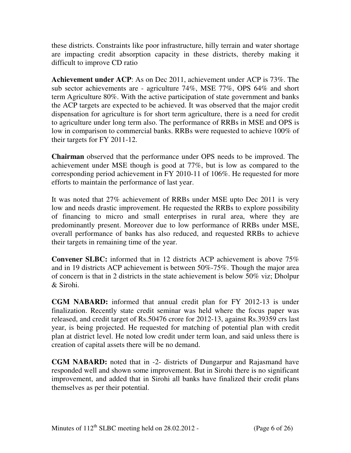these districts. Constraints like poor infrastructure, hilly terrain and water shortage are impacting credit absorption capacity in these districts, thereby making it difficult to improve CD ratio

**Achievement under ACP**: As on Dec 2011, achievement under ACP is 73%. The sub sector achievements are - agriculture 74%, MSE 77%, OPS 64% and short term Agriculture 80%. With the active participation of state government and banks the ACP targets are expected to be achieved. It was observed that the major credit dispensation for agriculture is for short term agriculture, there is a need for credit to agriculture under long term also. The performance of RRBs in MSE and OPS is low in comparison to commercial banks. RRBs were requested to achieve 100% of their targets for FY 2011-12.

**Chairman** observed that the performance under OPS needs to be improved. The achievement under MSE though is good at 77%, but is low as compared to the corresponding period achievement in FY 2010-11 of 106%. He requested for more efforts to maintain the performance of last year.

It was noted that 27% achievement of RRBs under MSE upto Dec 2011 is very low and needs drastic improvement. He requested the RRBs to explore possibility of financing to micro and small enterprises in rural area, where they are predominantly present. Moreover due to low performance of RRBs under MSE, overall performance of banks has also reduced, and requested RRBs to achieve their targets in remaining time of the year.

**Convener SLBC:** informed that in 12 districts ACP achievement is above 75% and in 19 districts ACP achievement is between 50%-75%. Though the major area of concern is that in 2 districts in the state achievement is below 50% viz; Dholpur & Sirohi.

**CGM NABARD:** informed that annual credit plan for FY 2012-13 is under finalization. Recently state credit seminar was held where the focus paper was released, and credit target of Rs.50476 crore for 2012-13, against Rs.39359 crs last year, is being projected. He requested for matching of potential plan with credit plan at district level. He noted low credit under term loan, and said unless there is creation of capital assets there will be no demand.

**CGM NABARD:** noted that in -2- districts of Dungarpur and Rajasmand have responded well and shown some improvement. But in Sirohi there is no significant improvement, and added that in Sirohi all banks have finalized their credit plans themselves as per their potential.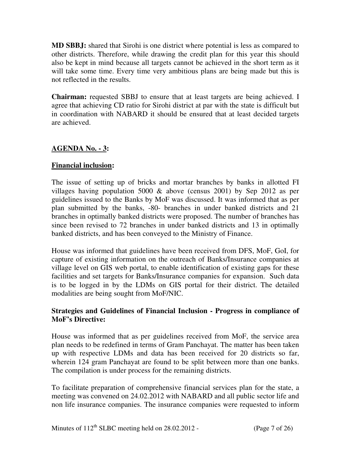**MD SBBJ:** shared that Sirohi is one district where potential is less as compared to other districts. Therefore, while drawing the credit plan for this year this should also be kept in mind because all targets cannot be achieved in the short term as it will take some time. Every time very ambitious plans are being made but this is not reflected in the results.

**Chairman:** requested SBBJ to ensure that at least targets are being achieved. I agree that achieving CD ratio for Sirohi district at par with the state is difficult but in coordination with NABARD it should be ensured that at least decided targets are achieved.

## **AGENDA No. - 3:**

## **Financial inclusion:**

The issue of setting up of bricks and mortar branches by banks in allotted FI villages having population 5000 & above (census 2001) by Sep 2012 as per guidelines issued to the Banks by MoF was discussed. It was informed that as per plan submitted by the banks, -80- branches in under banked districts and 21 branches in optimally banked districts were proposed. The number of branches has since been revised to 72 branches in under banked districts and 13 in optimally banked districts, and has been conveyed to the Ministry of Finance.

House was informed that guidelines have been received from DFS, MoF, GoI, for capture of existing information on the outreach of Banks/Insurance companies at village level on GIS web portal, to enable identification of existing gaps for these facilities and set targets for Banks/Insurance companies for expansion. Such data is to be logged in by the LDMs on GIS portal for their district. The detailed modalities are being sought from MoF/NIC.

#### **Strategies and Guidelines of Financial Inclusion - Progress in compliance of MoF's Directive:**

House was informed that as per guidelines received from MoF, the service area plan needs to be redefined in terms of Gram Panchayat. The matter has been taken up with respective LDMs and data has been received for 20 districts so far, wherein 124 gram Panchayat are found to be split between more than one banks. The compilation is under process for the remaining districts.

To facilitate preparation of comprehensive financial services plan for the state, a meeting was convened on 24.02.2012 with NABARD and all public sector life and non life insurance companies. The insurance companies were requested to inform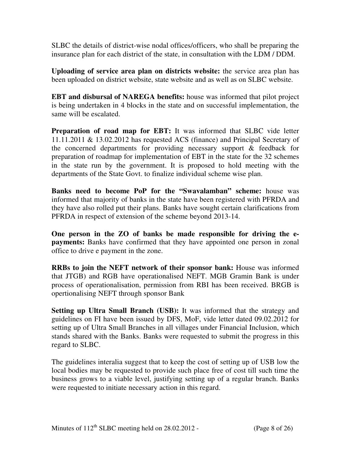SLBC the details of district-wise nodal offices/officers, who shall be preparing the insurance plan for each district of the state, in consultation with the LDM / DDM.

**Uploading of service area plan on districts website:** the service area plan has been uploaded on district website, state website and as well as on SLBC website.

**EBT and disbursal of NAREGA benefits:** house was informed that pilot project is being undertaken in 4 blocks in the state and on successful implementation, the same will be escalated.

**Preparation of road map for EBT:** It was informed that SLBC vide letter 11.11.2011 & 13.02.2012 has requested ACS (finance) and Principal Secretary of the concerned departments for providing necessary support & feedback for preparation of roadmap for implementation of EBT in the state for the 32 schemes in the state run by the government. It is proposed to hold meeting with the departments of the State Govt. to finalize individual scheme wise plan.

**Banks need to become PoP for the "Swavalamban" scheme:** house was informed that majority of banks in the state have been registered with PFRDA and they have also rolled put their plans. Banks have sought certain clarifications from PFRDA in respect of extension of the scheme beyond 2013-14.

**One person in the ZO of banks be made responsible for driving the epayments:** Banks have confirmed that they have appointed one person in zonal office to drive e payment in the zone.

**RRBs to join the NEFT network of their sponsor bank:** House was informed that JTGB) and RGB have operationalised NEFT. MGB Gramin Bank is under process of operationalisation, permission from RBI has been received. BRGB is opertionalising NEFT through sponsor Bank

**Setting up Ultra Small Branch (USB):** It was informed that the strategy and guidelines on FI have been issued by DFS, MoF, vide letter dated 09.02.2012 for setting up of Ultra Small Branches in all villages under Financial Inclusion, which stands shared with the Banks. Banks were requested to submit the progress in this regard to SLBC.

The guidelines interalia suggest that to keep the cost of setting up of USB low the local bodies may be requested to provide such place free of cost till such time the business grows to a viable level, justifying setting up of a regular branch. Banks were requested to initiate necessary action in this regard.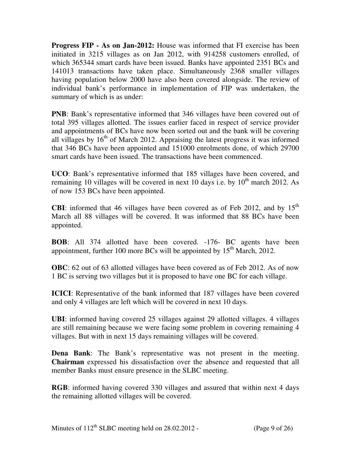**Progress FIP - As on Jan-2012:** House was informed that FI exercise has been initiated in 3215 villages as on Jan 2012, with 914258 customers enrolled, of which 365344 smart cards have been issued. Banks have appointed 2351 BCs and 141013 transactions have taken place. Simultaneously 2368 smaller villages having population below 2000 have also been covered alongside. The review of individual bank's performance in implementation of FIP was undertaken, the summary of which is as under:

**PNB**: Bank's representative informed that 346 villages have been covered out of total 395 villages allotted. The issues earlier faced in respect of service provider and appointments of BCs have now been sorted out and the bank will be covering all villages by  $16<sup>th</sup>$  of March 2012. Appraising the latest progress it was informed that 346 BCs have been appointed and 151000 enrolments done, of which 29700 smart cards have been issued. The transactions have been commenced.

**UCO**: Bank's representative informed that 185 villages have been covered, and remaining 10 villages will be covered in next 10 days i.e. by  $10^{th}$  march 2012. As of now 153 BCs have been appointed.

**CBI:** informed that 46 villages have been covered as of Feb 2012, and by  $15<sup>th</sup>$ March all 88 villages will be covered. It was informed that 88 BCs have been appointed.

**BOB**: All 374 allotted have been covered. -176- BC agents have been appointment, further 100 more BCs will be appointed by 15<sup>th</sup> March, 2012.

**OBC**: 62 out of 63 allotted villages have been covered as of Feb 2012. As of now 1 BC is serving two villages but it is proposed to have one BC for each village.

**ICICI**: Representative of the bank informed that 187 villages have been covered and only 4 villages are left which will be covered in next 10 days.

**UBI**: informed having covered 25 villages against 29 allotted villages. 4 villages are still remaining because we were facing some problem in covering remaining 4 villages. But with in next 15 days remaining villages will be covered.

**Dena Bank**: The Bank's representative was not present in the meeting. **Chairman** expressed his dissatisfaction over the absence and requested that all member Banks must ensure presence in the SLBC meeting.

**RGB**: informed having covered 330 villages and assured that within next 4 days the remaining allotted villages will be covered.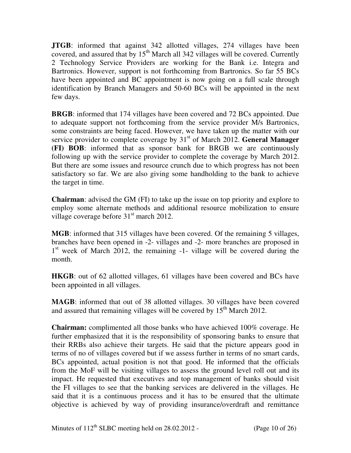**JTGB**: informed that against 342 allotted villages, 274 villages have been covered, and assured that by  $15<sup>th</sup>$  March all 342 villages will be covered. Currently 2 Technology Service Providers are working for the Bank i.e. Integra and Bartronics. However, support is not forthcoming from Bartronics. So far 55 BCs have been appointed and BC appointment is now going on a full scale through identification by Branch Managers and 50-60 BCs will be appointed in the next few days.

**BRGB**: informed that 174 villages have been covered and 72 BCs appointed. Due to adequate support not forthcoming from the service provider M/s Bartronics, some constraints are being faced. However, we have taken up the matter with our service provider to complete coverage by 31<sup>st</sup> of March 2012. **General Manager (FI) BOB**: informed that as sponsor bank for BRGB we are continuously following up with the service provider to complete the coverage by March 2012. But there are some issues and resource crunch due to which progress has not been satisfactory so far. We are also giving some handholding to the bank to achieve the target in time.

**Chairman**: advised the GM (FI) to take up the issue on top priority and explore to employ some alternate methods and additional resource mobilization to ensure village coverage before 31<sup>st</sup> march 2012.

**MGB**: informed that 315 villages have been covered. Of the remaining 5 villages, branches have been opened in -2- villages and -2- more branches are proposed in 1<sup>st</sup> week of March 2012, the remaining -1- village will be covered during the month.

**HKGB**: out of 62 allotted villages, 61 villages have been covered and BCs have been appointed in all villages.

**MAGB**: informed that out of 38 allotted villages. 30 villages have been covered and assured that remaining villages will be covered by  $15<sup>th</sup>$  March 2012.

**Chairman:** complimented all those banks who have achieved 100% coverage. He further emphasized that it is the responsibility of sponsoring banks to ensure that their RRBs also achieve their targets. He said that the picture appears good in terms of no of villages covered but if we assess further in terms of no smart cards, BCs appointed, actual position is not that good. He informed that the officials from the MoF will be visiting villages to assess the ground level roll out and its impact. He requested that executives and top management of banks should visit the FI villages to see that the banking services are delivered in the villages. He said that it is a continuous process and it has to be ensured that the ultimate objective is achieved by way of providing insurance/overdraft and remittance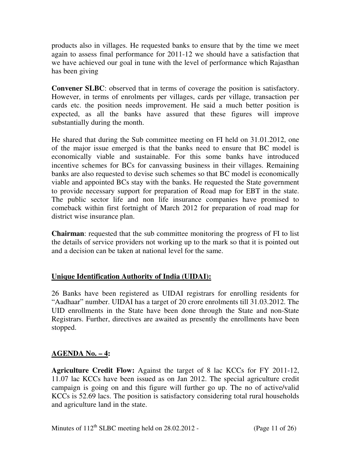products also in villages. He requested banks to ensure that by the time we meet again to assess final performance for 2011-12 we should have a satisfaction that we have achieved our goal in tune with the level of performance which Rajasthan has been giving

**Convener SLBC**: observed that in terms of coverage the position is satisfactory. However, in terms of enrolments per villages, cards per village, transaction per cards etc. the position needs improvement. He said a much better position is expected, as all the banks have assured that these figures will improve substantially during the month.

He shared that during the Sub committee meeting on FI held on 31.01.2012, one of the major issue emerged is that the banks need to ensure that BC model is economically viable and sustainable. For this some banks have introduced incentive schemes for BCs for canvassing business in their villages. Remaining banks are also requested to devise such schemes so that BC model is economically viable and appointed BCs stay with the banks. He requested the State government to provide necessary support for preparation of Road map for EBT in the state. The public sector life and non life insurance companies have promised to comeback within first fortnight of March 2012 for preparation of road map for district wise insurance plan.

**Chairman**: requested that the sub committee monitoring the progress of FI to list the details of service providers not working up to the mark so that it is pointed out and a decision can be taken at national level for the same.

## **Unique Identification Authority of India (UIDAI):**

26 Banks have been registered as UIDAI registrars for enrolling residents for "Aadhaar" number. UIDAI has a target of 20 crore enrolments till 31.03.2012. The UID enrollments in the State have been done through the State and non-State Registrars. Further, directives are awaited as presently the enrollments have been stopped.

## **AGENDA No. – 4:**

**Agriculture Credit Flow:** Against the target of 8 lac KCCs for FY 2011-12, 11.07 lac KCCs have been issued as on Jan 2012. The special agriculture credit campaign is going on and this figure will further go up. The no of active/valid KCCs is 52.69 lacs. The position is satisfactory considering total rural households and agriculture land in the state.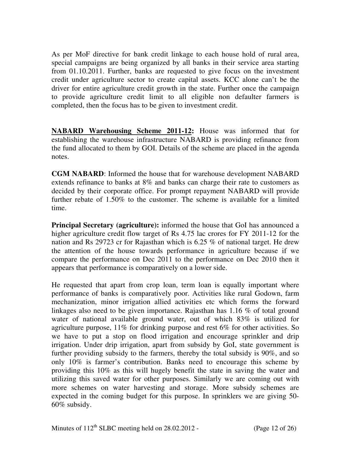As per MoF directive for bank credit linkage to each house hold of rural area, special campaigns are being organized by all banks in their service area starting from 01.10.2011. Further, banks are requested to give focus on the investment credit under agriculture sector to create capital assets. KCC alone can't be the driver for entire agriculture credit growth in the state. Further once the campaign to provide agriculture credit limit to all eligible non defaulter farmers is completed, then the focus has to be given to investment credit.

**NABARD Warehousing Scheme 2011-12:** House was informed that for establishing the warehouse infrastructure NABARD is providing refinance from the fund allocated to them by GOI. Details of the scheme are placed in the agenda notes.

**CGM NABARD**: Informed the house that for warehouse development NABARD extends refinance to banks at 8% and banks can charge their rate to customers as decided by their corporate office. For prompt repayment NABARD will provide further rebate of 1.50% to the customer. The scheme is available for a limited time.

**Principal Secretary (agriculture):** informed the house that GoI has announced a higher agriculture credit flow target of Rs 4.75 lac crores for FY 2011-12 for the nation and Rs 29723 cr for Rajasthan which is 6.25 % of national target. He drew the attention of the house towards performance in agriculture because if we compare the performance on Dec 2011 to the performance on Dec 2010 then it appears that performance is comparatively on a lower side.

He requested that apart from crop loan, term loan is equally important where performance of banks is comparatively poor. Activities like rural Godown, farm mechanization, minor irrigation allied activities etc which forms the forward linkages also need to be given importance. Rajasthan has 1.16 % of total ground water of national available ground water, out of which 83% is utilized for agriculture purpose, 11% for drinking purpose and rest 6% for other activities. So we have to put a stop on flood irrigation and encourage sprinkler and drip irrigation. Under drip irrigation, apart from subsidy by GoI, state government is further providing subsidy to the farmers, thereby the total subsidy is 90%, and so only 10% is farmer's contribution. Banks need to encourage this scheme by providing this 10% as this will hugely benefit the state in saving the water and utilizing this saved water for other purposes. Similarly we are coming out with more schemes on water harvesting and storage. More subsidy schemes are expected in the coming budget for this purpose. In sprinklers we are giving 50- 60% subsidy.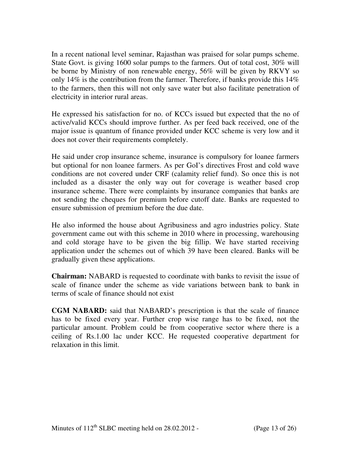In a recent national level seminar, Rajasthan was praised for solar pumps scheme. State Govt. is giving 1600 solar pumps to the farmers. Out of total cost, 30% will be borne by Ministry of non renewable energy, 56% will be given by RKVY so only 14% is the contribution from the farmer. Therefore, if banks provide this  $14\%$ to the farmers, then this will not only save water but also facilitate penetration of electricity in interior rural areas.

He expressed his satisfaction for no. of KCCs issued but expected that the no of active/valid KCCs should improve further. As per feed back received, one of the major issue is quantum of finance provided under KCC scheme is very low and it does not cover their requirements completely.

He said under crop insurance scheme, insurance is compulsory for loanee farmers but optional for non loanee farmers. As per GoI's directives Frost and cold wave conditions are not covered under CRF (calamity relief fund). So once this is not included as a disaster the only way out for coverage is weather based crop insurance scheme. There were complaints by insurance companies that banks are not sending the cheques for premium before cutoff date. Banks are requested to ensure submission of premium before the due date.

He also informed the house about Agribusiness and agro industries policy. State government came out with this scheme in 2010 where in processing, warehousing and cold storage have to be given the big fillip. We have started receiving application under the schemes out of which 39 have been cleared. Banks will be gradually given these applications.

**Chairman:** NABARD is requested to coordinate with banks to revisit the issue of scale of finance under the scheme as vide variations between bank to bank in terms of scale of finance should not exist

**CGM NABARD:** said that NABARD's prescription is that the scale of finance has to be fixed every year. Further crop wise range has to be fixed, not the particular amount. Problem could be from cooperative sector where there is a ceiling of Rs.1.00 lac under KCC. He requested cooperative department for relaxation in this limit.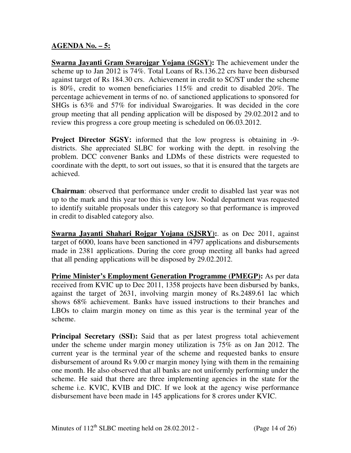#### **AGENDA No. – 5:**

**Swarna Jayanti Gram Swarojgar Yojana (SGSY):** The achievement under the scheme up to Jan 2012 is 74%. Total Loans of Rs.136.22 crs have been disbursed against target of Rs 184.30 crs. Achievement in credit to SC/ST under the scheme is 80%, credit to women beneficiaries 115% and credit to disabled 20%. The percentage achievement in terms of no. of sanctioned applications to sponsored for SHGs is 63% and 57% for individual Swarojgaries. It was decided in the core group meeting that all pending application will be disposed by 29.02.2012 and to review this progress a core group meeting is scheduled on 06.03.2012.

**Project Director SGSY:** informed that the low progress is obtaining in -9 districts. She appreciated SLBC for working with the deptt. in resolving the problem. DCC convener Banks and LDMs of these districts were requested to coordinate with the deptt, to sort out issues, so that it is ensured that the targets are achieved.

**Chairman**: observed that performance under credit to disabled last year was not up to the mark and this year too this is very low. Nodal department was requested to identify suitable proposals under this category so that performance is improved in credit to disabled category also.

**Swarna Jayanti Shahari Rojgar Yojana (SJSRY):**. as on Dec 2011, against target of 6000, loans have been sanctioned in 4797 applications and disbursements made in 2381 applications. During the core group meeting all banks had agreed that all pending applications will be disposed by 29.02.2012.

**Prime Minister's Employment Generation Programme (PMEGP):** As per data received from KVIC up to Dec 2011, 1358 projects have been disbursed by banks, against the target of 2631, involving margin money of Rs.2489.61 lac which shows 68% achievement. Banks have issued instructions to their branches and LBOs to claim margin money on time as this year is the terminal year of the scheme.

**Principal Secretary (SSI):** Said that as per latest progress total achievement under the scheme under margin money utilization is 75% as on Jan 2012. The current year is the terminal year of the scheme and requested banks to ensure disbursement of around Rs 9.00 cr margin money lying with them in the remaining one month. He also observed that all banks are not uniformly performing under the scheme. He said that there are three implementing agencies in the state for the scheme i.e. KVIC, KVIB and DIC. If we look at the agency wise performance disbursement have been made in 145 applications for 8 crores under KVIC.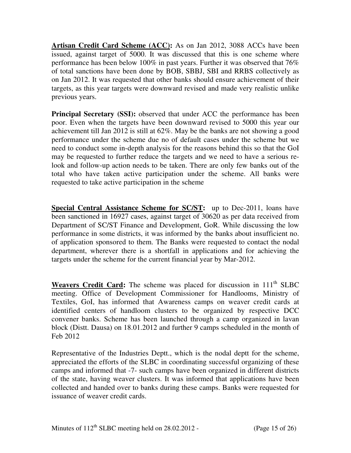**Artisan Credit Card Scheme (ACC):** As on Jan 2012, 3088 ACCs have been issued, against target of 5000. It was discussed that this is one scheme where performance has been below 100% in past years. Further it was observed that 76% of total sanctions have been done by BOB, SBBJ, SBI and RRBS collectively as on Jan 2012. It was requested that other banks should ensure achievement of their targets, as this year targets were downward revised and made very realistic unlike previous years.

**Principal Secretary (SSI):** observed that under ACC the performance has been poor. Even when the targets have been downward revised to 5000 this year our achievement till Jan 2012 is still at 62%. May be the banks are not showing a good performance under the scheme due no of default cases under the scheme but we need to conduct some in-depth analysis for the reasons behind this so that the GoI may be requested to further reduce the targets and we need to have a serious relook and follow-up action needs to be taken. There are only few banks out of the total who have taken active participation under the scheme. All banks were requested to take active participation in the scheme

**Special Central Assistance Scheme for SC/ST:** up to Dec-2011, loans have been sanctioned in 16927 cases, against target of 30620 as per data received from Department of SC/ST Finance and Development, GoR. While discussing the low performance in some districts, it was informed by the banks about insufficient no. of application sponsored to them. The Banks were requested to contact the nodal department, wherever there is a shortfall in applications and for achieving the targets under the scheme for the current financial year by Mar-2012.

**Weavers Credit Card:** The scheme was placed for discussion in 111<sup>th</sup> SLBC meeting. Office of Development Commissioner for Handlooms, Ministry of Textiles, GoI, has informed that Awareness camps on weaver credit cards at identified centers of handloom clusters to be organized by respective DCC convener banks. Scheme has been launched through a camp organized in lavan block (Distt. Dausa) on 18.01.2012 and further 9 camps scheduled in the month of Feb 2012

Representative of the Industries Deptt., which is the nodal deptt for the scheme, appreciated the efforts of the SLBC in coordinating successful organizing of these camps and informed that -7- such camps have been organized in different districts of the state, having weaver clusters. It was informed that applications have been collected and handed over to banks during these camps. Banks were requested for issuance of weaver credit cards.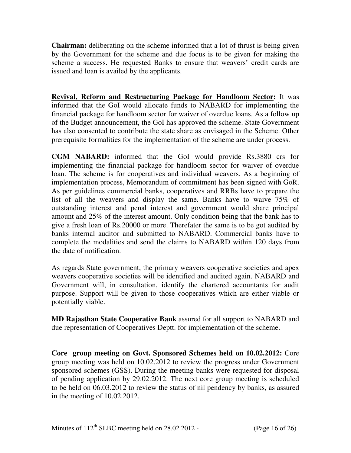**Chairman:** deliberating on the scheme informed that a lot of thrust is being given by the Government for the scheme and due focus is to be given for making the scheme a success. He requested Banks to ensure that weavers' credit cards are issued and loan is availed by the applicants.

**Revival, Reform and Restructuring Package for Handloom Sector:** It was informed that the GoI would allocate funds to NABARD for implementing the financial package for handloom sector for waiver of overdue loans. As a follow up of the Budget announcement, the GoI has approved the scheme. State Government has also consented to contribute the state share as envisaged in the Scheme. Other prerequisite formalities for the implementation of the scheme are under process.

**CGM NABARD:** informed that the GoI would provide Rs.3880 crs for implementing the financial package for handloom sector for waiver of overdue loan. The scheme is for cooperatives and individual weavers. As a beginning of implementation process, Memorandum of commitment has been signed with GoR. As per guidelines commercial banks, cooperatives and RRBs have to prepare the list of all the weavers and display the same. Banks have to waive 75% of outstanding interest and penal interest and government would share principal amount and 25% of the interest amount. Only condition being that the bank has to give a fresh loan of Rs.20000 or more. Therefater the same is to be got audited by banks internal auditor and submitted to NABARD. Commercial banks have to complete the modalities and send the claims to NABARD within 120 days from the date of notification.

As regards State government, the primary weavers cooperative societies and apex weavers cooperative societies will be identified and audited again. NABARD and Government will, in consultation, identify the chartered accountants for audit purpose. Support will be given to those cooperatives which are either viable or potentially viable.

**MD Rajasthan State Cooperative Bank** assured for all support to NABARD and due representation of Cooperatives Deptt. for implementation of the scheme.

**Core group meeting on Govt. Sponsored Schemes held on 10.02.2012:** Core group meeting was held on 10.02.2012 to review the progress under Government sponsored schemes (GSS). During the meeting banks were requested for disposal of pending application by 29.02.2012. The next core group meeting is scheduled to be held on 06.03.2012 to review the status of nil pendency by banks, as assured in the meeting of 10.02.2012.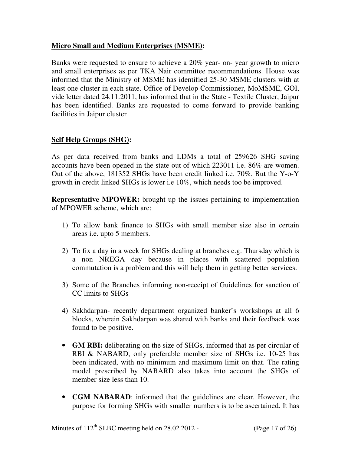## **Micro Small and Medium Enterprises (MSME):**

Banks were requested to ensure to achieve a 20% year- on- year growth to micro and small enterprises as per TKA Nair committee recommendations. House was informed that the Ministry of MSME has identified 25-30 MSME clusters with at least one cluster in each state. Office of Develop Commissioner, MoMSME, GOI, vide letter dated 24.11.2011, has informed that in the State - Textile Cluster, Jaipur has been identified. Banks are requested to come forward to provide banking facilities in Jaipur cluster

## **Self Help Groups (SHG):**

As per data received from banks and LDMs a total of 259626 SHG saving accounts have been opened in the state out of which 223011 i.e. 86% are women. Out of the above, 181352 SHGs have been credit linked i.e. 70%. But the Y-o-Y growth in credit linked SHGs is lower i.e 10%, which needs too be improved.

**Representative MPOWER:** brought up the issues pertaining to implementation of MPOWER scheme, which are:

- 1) To allow bank finance to SHGs with small member size also in certain areas i.e. upto 5 members.
- 2) To fix a day in a week for SHGs dealing at branches e.g. Thursday which is a non NREGA day because in places with scattered population commutation is a problem and this will help them in getting better services.
- 3) Some of the Branches informing non-receipt of Guidelines for sanction of CC limits to SHGs
- 4) Sakhdarpan- recently department organized banker's workshops at all 6 blocks, wherein Sakhdarpan was shared with banks and their feedback was found to be positive.
- **GM RBI:** deliberating on the size of SHGs, informed that as per circular of RBI & NABARD, only preferable member size of SHGs i.e. 10-25 has been indicated, with no minimum and maximum limit on that. The rating model prescribed by NABARD also takes into account the SHGs of member size less than 10.
- **CGM NABARAD**: informed that the guidelines are clear. However, the purpose for forming SHGs with smaller numbers is to be ascertained. It has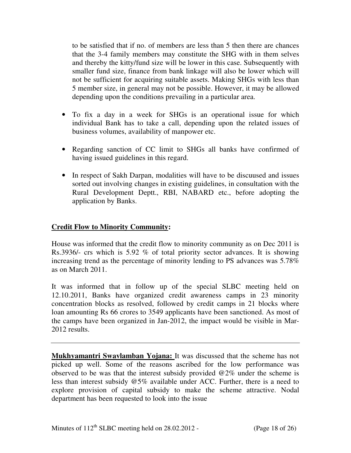to be satisfied that if no. of members are less than 5 then there are chances that the 3-4 family members may constitute the SHG with in them selves and thereby the kitty/fund size will be lower in this case. Subsequently with smaller fund size, finance from bank linkage will also be lower which will not be sufficient for acquiring suitable assets. Making SHGs with less than 5 member size, in general may not be possible. However, it may be allowed depending upon the conditions prevailing in a particular area.

- To fix a day in a week for SHGs is an operational issue for which individual Bank has to take a call, depending upon the related issues of business volumes, availability of manpower etc.
- Regarding sanction of CC limit to SHGs all banks have confirmed of having issued guidelines in this regard.
- In respect of Sakh Darpan, modalities will have to be discuused and issues sorted out involving changes in existing guidelines, in consultation with the Rural Development Deptt., RBI, NABARD etc., before adopting the application by Banks.

#### **Credit Flow to Minority Community:**

House was informed that the credit flow to minority community as on Dec 2011 is Rs.3936/- crs which is 5.92 % of total priority sector advances. It is showing increasing trend as the percentage of minority lending to PS advances was 5.78% as on March 2011.

It was informed that in follow up of the special SLBC meeting held on 12.10.2011, Banks have organized credit awareness camps in 23 minority concentration blocks as resolved, followed by credit camps in 21 blocks where loan amounting Rs 66 crores to 3549 applicants have been sanctioned. As most of the camps have been organized in Jan-2012, the impact would be visible in Mar-2012 results.

**Mukhyamantri Swavlamban Yojana:** It was discussed that the scheme has not picked up well. Some of the reasons ascribed for the low performance was observed to be was that the interest subsidy provided  $@2\%$  under the scheme is less than interest subsidy @5% available under ACC. Further, there is a need to explore provision of capital subsidy to make the scheme attractive. Nodal department has been requested to look into the issue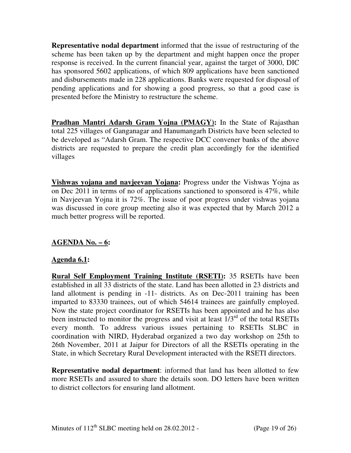**Representative nodal department** informed that the issue of restructuring of the scheme has been taken up by the department and might happen once the proper response is received. In the current financial year, against the target of 3000, DIC has sponsored 5602 applications, of which 809 applications have been sanctioned and disbursements made in 228 applications. Banks were requested for disposal of pending applications and for showing a good progress, so that a good case is presented before the Ministry to restructure the scheme.

**Pradhan Mantri Adarsh Gram Yojna (PMAGY):** In the State of Rajasthan total 225 villages of Ganganagar and Hanumangarh Districts have been selected to be developed as "Adarsh Gram. The respective DCC convener banks of the above districts are requested to prepare the credit plan accordingly for the identified villages

**Vishwas yojana and navjeevan Yojana:** Progress under the Vishwas Yojna as on Dec 2011 in terms of no of applications sanctioned to sponsored is 47%, while in Navjeevan Yojna it is 72%. The issue of poor progress under vishwas yojana was discussed in core group meeting also it was expected that by March 2012 a much better progress will be reported.

## **AGENDA No. – 6:**

#### **Agenda 6.1:**

**Rural Self Employment Training Institute (RSETI):** 35 RSETIs have been established in all 33 districts of the state. Land has been allotted in 23 districts and land allotment is pending in -11- districts. As on Dec-2011 training has been imparted to 83330 trainees, out of which 54614 trainees are gainfully employed. Now the state project coordinator for RSETIs has been appointed and he has also been instructed to monitor the progress and visit at least  $1/3<sup>rd</sup>$  of the total RSETIs every month. To address various issues pertaining to RSETIs SLBC in coordination with NIRD, Hyderabad organized a two day workshop on 25th to 26th November, 2011 at Jaipur for Directors of all the RSETIs operating in the State, in which Secretary Rural Development interacted with the RSETI directors.

**Representative nodal department**: informed that land has been allotted to few more RSETIs and assured to share the details soon. DO letters have been written to district collectors for ensuring land allotment.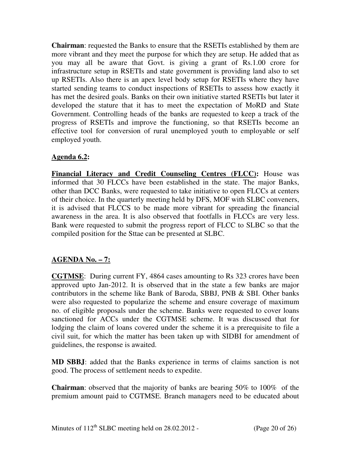**Chairman**: requested the Banks to ensure that the RSETIs established by them are more vibrant and they meet the purpose for which they are setup. He added that as you may all be aware that Govt. is giving a grant of Rs.1.00 crore for infrastructure setup in RSETIs and state government is providing land also to set up RSETIs. Also there is an apex level body setup for RSETIs where they have started sending teams to conduct inspections of RSETIs to assess how exactly it has met the desired goals. Banks on their own initiative started RSETIs but later it developed the stature that it has to meet the expectation of MoRD and State Government. Controlling heads of the banks are requested to keep a track of the progress of RSETIs and improve the functioning, so that RSETIs become an effective tool for conversion of rural unemployed youth to employable or self employed youth.

## **Agenda 6.2:**

**Financial Literacy and Credit Counseling Centres (FLCC):** House was informed that 30 FLCCs have been established in the state. The major Banks, other than DCC Banks, were requested to take initiative to open FLCCs at centers of their choice. In the quarterly meeting held by DFS, MOF with SLBC conveners, it is advised that FLCCS to be made more vibrant for spreading the financial awareness in the area. It is also observed that footfalls in FLCCs are very less. Bank were requested to submit the progress report of FLCC to SLBC so that the compiled position for the Sttae can be presented at SLBC.

## **AGENDA No. – 7:**

**CGTMSE**: During current FY, 4864 cases amounting to Rs 323 crores have been approved upto Jan-2012. It is observed that in the state a few banks are major contributors in the scheme like Bank of Baroda, SBBJ, PNB & SBI. Other banks were also requested to popularize the scheme and ensure coverage of maximum no. of eligible proposals under the scheme. Banks were requested to cover loans sanctioned for ACCs under the CGTMSE scheme. It was discussed that for lodging the claim of loans covered under the scheme it is a prerequisite to file a civil suit, for which the matter has been taken up with SIDBI for amendment of guidelines, the response is awaited.

**MD SBBJ**: added that the Banks experience in terms of claims sanction is not good. The process of settlement needs to expedite.

**Chairman**: observed that the majority of banks are bearing 50% to 100% of the premium amount paid to CGTMSE. Branch managers need to be educated about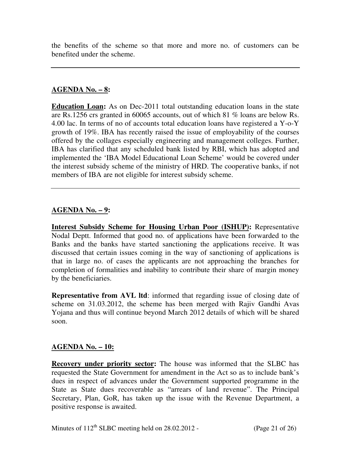the benefits of the scheme so that more and more no. of customers can be benefited under the scheme.

#### **AGENDA No. – 8:**

**Education Loan:** As on Dec-2011 total outstanding education loans in the state are Rs.1256 crs granted in 60065 accounts, out of which 81 % loans are below Rs. 4.00 lac. In terms of no of accounts total education loans have registered a Y-o-Y growth of 19%. IBA has recently raised the issue of employability of the courses offered by the collages especially engineering and management colleges. Further, IBA has clarified that any scheduled bank listed by RBI, which has adopted and implemented the 'IBA Model Educational Loan Scheme' would be covered under the interest subsidy scheme of the ministry of HRD. The cooperative banks, if not members of IBA are not eligible for interest subsidy scheme.

## **AGENDA No. – 9:**

**Interest Subsidy Scheme for Housing Urban Poor (ISHUP):** Representative Nodal Deptt. Informed that good no. of applications have been forwarded to the Banks and the banks have started sanctioning the applications receive. It was discussed that certain issues coming in the way of sanctioning of applications is that in large no. of cases the applicants are not approaching the branches for completion of formalities and inability to contribute their share of margin money by the beneficiaries.

**Representative from AVL ltd**: informed that regarding issue of closing date of scheme on 31.03.2012, the scheme has been merged with Rajiv Gandhi Avas Yojana and thus will continue beyond March 2012 details of which will be shared soon.

#### **AGENDA No. – 10:**

**Recovery under priority sector:** The house was informed that the SLBC has requested the State Government for amendment in the Act so as to include bank's dues in respect of advances under the Government supported programme in the State as State dues recoverable as "arrears of land revenue". The Principal Secretary, Plan, GoR, has taken up the issue with the Revenue Department, a positive response is awaited.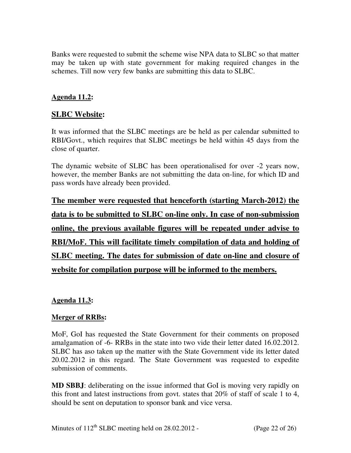Banks were requested to submit the scheme wise NPA data to SLBC so that matter may be taken up with state government for making required changes in the schemes. Till now very few banks are submitting this data to SLBC.

# **Agenda 11.2:**

# **SLBC Website:**

It was informed that the SLBC meetings are be held as per calendar submitted to RBI/Govt., which requires that SLBC meetings be held within 45 days from the close of quarter.

The dynamic website of SLBC has been operationalised for over -2 years now, however, the member Banks are not submitting the data on-line, for which ID and pass words have already been provided.

**The member were requested that henceforth (starting March-2012) the data is to be submitted to SLBC on-line only. In case of non-submission online, the previous available figures will be repeated under advise to RBI/MoF. This will facilitate timely compilation of data and holding of SLBC meeting. The dates for submission of date on-line and closure of website for compilation purpose will be informed to the members.**

#### **Agenda 11.3:**

## **Merger of RRBs:**

MoF, GoI has requested the State Government for their comments on proposed amalgamation of -6- RRBs in the state into two vide their letter dated 16.02.2012. SLBC has aso taken up the matter with the State Government vide its letter dated 20.02.2012 in this regard. The State Government was requested to expedite submission of comments.

**MD SBBJ**: deliberating on the issue informed that GoI is moving very rapidly on this front and latest instructions from govt. states that 20% of staff of scale 1 to 4, should be sent on deputation to sponsor bank and vice versa.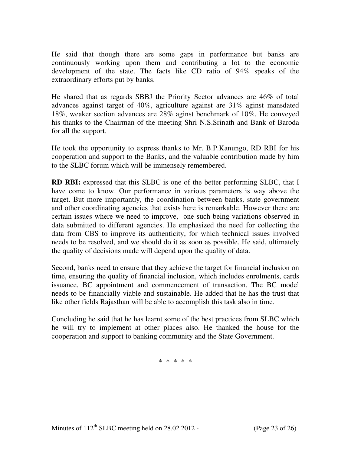He said that though there are some gaps in performance but banks are continuously working upon them and contributing a lot to the economic development of the state. The facts like CD ratio of 94% speaks of the extraordinary efforts put by banks.

He shared that as regards SBBJ the Priority Sector advances are 46% of total advances against target of 40%, agriculture against are 31% aginst mansdated 18%, weaker section advances are 28% aginst benchmark of 10%. He conveyed his thanks to the Chairman of the meeting Shri N.S.Srinath and Bank of Baroda for all the support.

He took the opportunity to express thanks to Mr. B.P.Kanungo, RD RBI for his cooperation and support to the Banks, and the valuable contribution made by him to the SLBC forum which will be immensely remembered.

**RD RBI:** expressed that this SLBC is one of the better performing SLBC, that I have come to know. Our performance in various parameters is way above the target. But more importantly, the coordination between banks, state government and other coordinating agencies that exists here is remarkable. However there are certain issues where we need to improve, one such being variations observed in data submitted to different agencies. He emphasized the need for collecting the data from CBS to improve its authenticity, for which technical issues involved needs to be resolved, and we should do it as soon as possible. He said, ultimately the quality of decisions made will depend upon the quality of data.

Second, banks need to ensure that they achieve the target for financial inclusion on time, ensuring the quality of financial inclusion, which includes enrolments, cards issuance, BC appointment and commencement of transaction. The BC model needs to be financially viable and sustainable. He added that he has the trust that like other fields Rajasthan will be able to accomplish this task also in time.

Concluding he said that he has learnt some of the best practices from SLBC which he will try to implement at other places also. He thanked the house for the cooperation and support to banking community and the State Government.

\* \* \* \* \*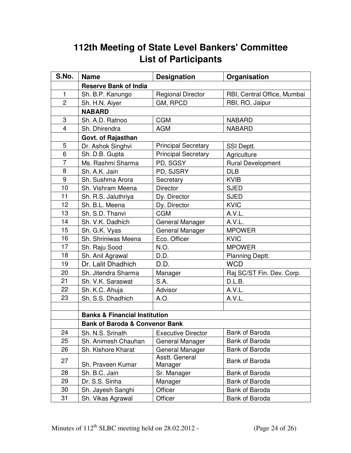# **112th Meeting of State Level Bankers' Committee List of Participants**

| S.No.          | <b>Name</b>                               | <b>Designation</b>         | Organisation                |  |  |  |
|----------------|-------------------------------------------|----------------------------|-----------------------------|--|--|--|
|                | <b>Reserve Bank of India</b>              |                            |                             |  |  |  |
| $\mathbf{1}$   | Sh. B.P. Kanungo                          | <b>Regional Director</b>   | RBI, Central Office, Mumbai |  |  |  |
| $\overline{2}$ | Sh. H.N. Aiyer                            | GM, RPCD                   | RBI, RO, Jaipur             |  |  |  |
|                | <b>NABARD</b>                             |                            |                             |  |  |  |
| 3              | Sh. A.D. Ratnoo                           | <b>CGM</b>                 | <b>NABARD</b>               |  |  |  |
| $\overline{4}$ | Sh. Dhirendra                             | <b>AGM</b>                 | <b>NABARD</b>               |  |  |  |
|                | <b>Govt. of Rajasthan</b>                 |                            |                             |  |  |  |
| 5              | Dr. Ashok Singhvi                         | <b>Principal Secretary</b> | SSI Deptt.                  |  |  |  |
| 6              | Sh. D.B. Gupta                            | <b>Principal Secretary</b> | Agriculture                 |  |  |  |
| $\overline{7}$ | Ms. Rashmi Sharma                         | PD, SGSY                   | <b>Rural Development</b>    |  |  |  |
| 8              | Sh. A.K. Jain                             | PD, SJSRY                  | <b>DLB</b>                  |  |  |  |
| 9              | Sh. Sushma Arora                          | Secretary                  | <b>KVIB</b>                 |  |  |  |
| 10             | Sh. Vishram Meena                         | <b>Director</b>            | <b>SJED</b>                 |  |  |  |
| 11             | Sh. R.S. Jaluthriya                       | Dy. Director               | <b>SJED</b>                 |  |  |  |
| 12             | Sh. B.L. Meena                            | Dy. Director               | <b>KVIC</b>                 |  |  |  |
| 13             | Sh. S.D. Thanvi                           | <b>CGM</b>                 | A.V.L.                      |  |  |  |
| 14             | Sh. V.K. Dadhich                          | General Manager            | A.V.L.                      |  |  |  |
| 15             | Sh. G.K. Vyas                             | General Manager            | <b>MPOWER</b>               |  |  |  |
| 16             | Sh. Shriniwas Meena                       | Eco. Officer               | <b>KVIC</b>                 |  |  |  |
| 17             | Sh. Raju Sood                             | N.O.                       | <b>MPOWER</b>               |  |  |  |
| 18             | Sh. Anil Agrawal                          | D.D.                       | Planning Deptt.             |  |  |  |
| 19             | Dr. Lalit Dhadhich                        | D.D.                       | <b>WCD</b>                  |  |  |  |
| 20             | Sh. Jitendra Sharma                       | Manager                    | Raj SC/ST Fin. Dev. Corp.   |  |  |  |
| 21             | Sh. V.K. Saraswat                         | S.A.                       | D.L.B.                      |  |  |  |
| 22             | Sh. K.C. Ahuja                            | Advisor                    | A.V.L.                      |  |  |  |
| 23             | Sh. S.S. Dhadhich                         | A.O.                       | A.V.L.                      |  |  |  |
|                |                                           |                            |                             |  |  |  |
|                | <b>Banks &amp; Financial Institution</b>  |                            |                             |  |  |  |
|                | <b>Bank of Baroda &amp; Convenor Bank</b> |                            |                             |  |  |  |
| 24             | Sh. N.S. Srinath                          | <b>Executive Director</b>  | <b>Bank of Baroda</b>       |  |  |  |
| 25             | Sh. Animesh Chauhan                       | General Manager            | Bank of Baroda              |  |  |  |
| 26             | Sh. Kishore Kharat                        | General Manager            | Bank of Baroda              |  |  |  |
| 27             |                                           | Asstt. General             | <b>Bank of Baroda</b>       |  |  |  |
|                | Sh. Praveen Kumar                         | Manager                    |                             |  |  |  |
| 28             | Sh. B.C. Jain                             | Sr. Manager                | Bank of Baroda              |  |  |  |
| 29             | Dr. S.S. Sinha                            | Manager                    | Bank of Baroda              |  |  |  |
| 30             | Sh. Jayesh Sanghi                         | Officer                    | Bank of Baroda              |  |  |  |
| 31             | Sh. Vikas Agrawal                         | Officer                    | Bank of Baroda              |  |  |  |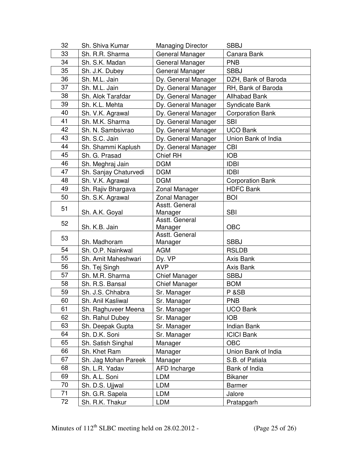| 32 | Sh. Shiva Kumar       | <b>Managing Director</b>  | <b>SBBJ</b>             |
|----|-----------------------|---------------------------|-------------------------|
| 33 | Sh. R.R. Sharma       | General Manager           | Canara Bank             |
| 34 | Sh. S.K. Madan        | General Manager           | <b>PNB</b>              |
| 35 | Sh. J.K. Dubey        | General Manager           | <b>SBBJ</b>             |
| 36 | Sh. M.L. Jain         | Dy. General Manager       | DZH, Bank of Baroda     |
| 37 | Sh. M.L. Jain         | Dy. General Manager       | RH, Bank of Baroda      |
| 38 | Sh. Alok Tarafdar     | Dy. General Manager       | <b>Allhabad Bank</b>    |
| 39 | Sh. K.L. Mehta        | Dy. General Manager       | <b>Syndicate Bank</b>   |
| 40 | Sh. V.K. Agrawal      | Dy. General Manager       | <b>Corporation Bank</b> |
| 41 | Sh. M.K. Sharma       | Dy. General Manager       | <b>SBI</b>              |
| 42 | Sh. N. Sambsivrao     | Dy. General Manager       | <b>UCO Bank</b>         |
| 43 | Sh. S.C. Jain         | Dy. General Manager       | Union Bank of India     |
| 44 | Sh. Shammi Kaplush    | Dy. General Manager       | <b>CBI</b>              |
| 45 | Sh. G. Prasad         | Chief RH                  | <b>IOB</b>              |
| 46 | Sh. Meghraj Jain      | <b>DGM</b>                | <b>IDBI</b>             |
| 47 | Sh. Sanjay Chaturvedi | <b>DGM</b>                | <b>IDBI</b>             |
| 48 | Sh. V.K. Agrawal      | <b>DGM</b>                | <b>Corporation Bank</b> |
| 49 | Sh. Rajiv Bhargava    | Zonal Manager             | <b>HDFC Bank</b>        |
| 50 | Sh. S.K. Agrawal      | Zonal Manager             | <b>BOI</b>              |
| 51 |                       | Asstt. General            |                         |
|    | Sh. A.K. Goyal        | Manager                   | <b>SBI</b>              |
| 52 |                       | Asstt. General            |                         |
|    | Sh. K.B. Jain         | Manager                   | <b>OBC</b>              |
| 53 | Sh. Madhoram          | Asstt. General<br>Manager | <b>SBBJ</b>             |
| 54 | Sh. O.P. Nainkwal     | <b>AGM</b>                | <b>RSLDB</b>            |
| 55 | Sh. Amit Maheshwari   | Dy. VP                    | Axis Bank               |
| 56 | Sh. Tej Singh         | <b>AVP</b>                | Axis Bank               |
| 57 | Sh. M.R. Sharma       | <b>Chief Manager</b>      | <b>SBBJ</b>             |
| 58 | Sh. R.S. Bansal       | <b>Chief Manager</b>      | <b>BOM</b>              |
| 59 | Sh. J.S. Chhabra      | Sr. Manager               | P & SB                  |
| 60 | Sh. Anil Kasliwal     | Sr. Manager               | <b>PNB</b>              |
| 61 | Sh. Raghuveer Meena   | Sr. Manager               | <b>UCO Bank</b>         |
| 62 | Sh. Rahul Dubey       | Sr. Manager               | <b>IOB</b>              |
| 63 | Sh. Deepak Gupta      | Sr. Manager               | <b>Indian Bank</b>      |
| 64 | Sh. D.K. Soni         | Sr. Manager               | <b>ICICI Bank</b>       |
| 65 | Sh. Satish Singhal    | Manager                   | <b>OBC</b>              |
| 66 | Sh. Khet Ram          | Manager                   | Union Bank of India     |
| 67 | Sh. Jag Mohan Pareek  | Manager                   | S.B. of Patiala         |
| 68 | Sh. L.R. Yadav        | <b>AFD Incharge</b>       | Bank of India           |
| 69 | Sh. A.L. Soni         | LDM                       | <b>Bikaner</b>          |
| 70 | Sh. D.S. Ujjwal       | LDM                       | <b>Barmer</b>           |
| 71 | Sh. G.R. Sapela       | <b>LDM</b>                | Jalore                  |
| 72 | Sh. R.K. Thakur       | LDM                       | Pratapgarh              |
|    |                       |                           |                         |